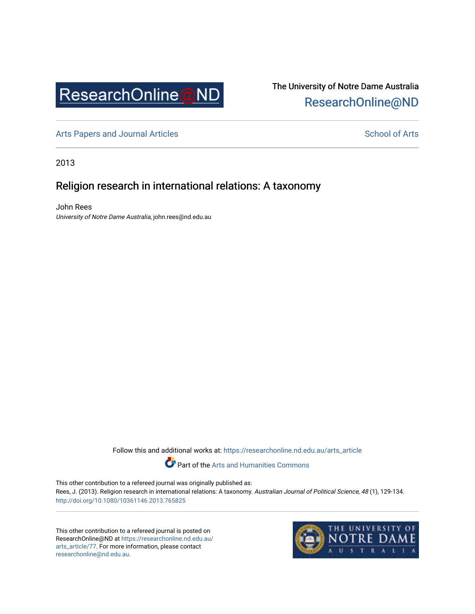

## The University of Notre Dame Australia [ResearchOnline@ND](https://researchonline.nd.edu.au/)

[Arts Papers and Journal Articles](https://researchonline.nd.edu.au/arts_article) and [School of Arts](https://researchonline.nd.edu.au/arts) School of Arts

2013

### Religion research in international relations: A taxonomy

John Rees University of Notre Dame Australia, john.rees@nd.edu.au

Follow this and additional works at: [https://researchonline.nd.edu.au/arts\\_article](https://researchonline.nd.edu.au/arts_article?utm_source=researchonline.nd.edu.au%2Farts_article%2F77&utm_medium=PDF&utm_campaign=PDFCoverPages) 

Part of the [Arts and Humanities Commons](http://network.bepress.com/hgg/discipline/438?utm_source=researchonline.nd.edu.au%2Farts_article%2F77&utm_medium=PDF&utm_campaign=PDFCoverPages) 

This other contribution to a refereed journal was originally published as: Rees, J. (2013). Religion research in international relations: A taxonomy. Australian Journal of Political Science, 48 (1), 129-134. <http://doi.org/10.1080/10361146.2013.765825>

This other contribution to a refereed journal is posted on ResearchOnline@ND at [https://researchonline.nd.edu.au/](https://researchonline.nd.edu.au/arts_article/77) [arts\\_article/77](https://researchonline.nd.edu.au/arts_article/77). For more information, please contact [researchonline@nd.edu.au.](mailto:researchonline@nd.edu.au)

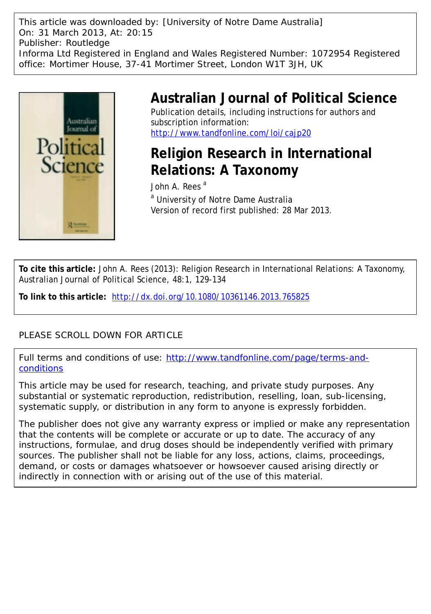This article was downloaded by: [University of Notre Dame Australia] On: 31 March 2013, At: 20:15 Publisher: Routledge Informa Ltd Registered in England and Wales Registered Number: 1072954 Registered office: Mortimer House, 37-41 Mortimer Street, London W1T 3JH, UK



## **Australian Journal of Political Science**

Publication details, including instructions for authors and subscription information: <http://www.tandfonline.com/loi/cajp20>

## **Religion Research in International Relations: A Taxonomy**

John A. Rees<sup>a</sup> <sup>a</sup> University of Notre Dame Australia Version of record first published: 28 Mar 2013.

**To cite this article:** John A. Rees (2013): Religion Research in International Relations: A Taxonomy, Australian Journal of Political Science, 48:1, 129-134

**To link to this article:** <http://dx.doi.org/10.1080/10361146.2013.765825>

#### PLEASE SCROLL DOWN FOR ARTICLE

Full terms and conditions of use: [http://www.tandfonline.com/page/terms-and](http://www.tandfonline.com/page/terms-and-conditions)[conditions](http://www.tandfonline.com/page/terms-and-conditions)

This article may be used for research, teaching, and private study purposes. Any substantial or systematic reproduction, redistribution, reselling, loan, sub-licensing, systematic supply, or distribution in any form to anyone is expressly forbidden.

The publisher does not give any warranty express or implied or make any representation that the contents will be complete or accurate or up to date. The accuracy of any instructions, formulae, and drug doses should be independently verified with primary sources. The publisher shall not be liable for any loss, actions, claims, proceedings, demand, or costs or damages whatsoever or howsoever caused arising directly or indirectly in connection with or arising out of the use of this material.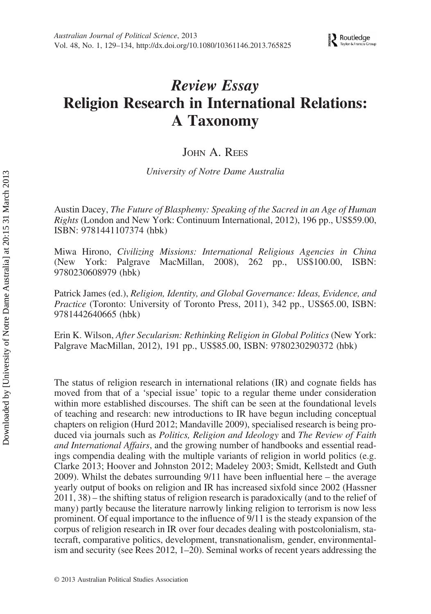# Review Essay Religion Province in International Promotion  $\overline{\phantom{a}}$

#### JOHN A. REES

#### University of Notre Dame Australia

Austin Dacey, The Future of Blasphemy: Speaking of the Sacred in an Age of Human Rights (London and New York: Continuum International, 2012), 196 pp., US\$59.00, ISBN: 9781441107374 (hbk)

Miwa Hirono, Civilizing Missions: International Religious Agencies in China (New York: Palgrave MacMillan, 2008), 262 pp., US\$100.00, ISBN: 9780230608979 (hbk)

Patrick James (ed.), Religion, Identity, and Global Governance: Ideas, Evidence, and Practice (Toronto: University of Toronto Press, 2011), 342 pp., US\$65.00, ISBN: 9781442640665 (hbk)

Erin K. Wilson, After Secularism: Rethinking Religion in Global Politics (New York: Palgrave MacMillan, 2012), 191 pp., US\$85.00, ISBN: 9780230290372 (hbk)

The status of religion research in international relations (IR) and cognate fields has moved from that of a 'special issue' topic to a regular theme under consideration within more established discourses. The shift can be seen at the foundational levels of teaching and research: new introductions to IR have begun including conceptual chapters on religion (Hurd 2012; Mandaville 2009), specialised research is being produced via journals such as Politics, Religion and Ideology and The Review of Faith and International Affairs, and the growing number of handbooks and essential readings compendia dealing with the multiple variants of religion in world politics (e.g. Clarke 2013; Hoover and Johnston 2012; Madeley 2003; Smidt, Kellstedt and Guth 2009). Whilst the debates surrounding 9/11 have been influential here – the average yearly output of books on religion and IR has increased sixfold since 2002 (Hassner 2011, 38) – the shifting status of religion research is paradoxically (and to the relief of many) partly because the literature narrowly linking religion to terrorism is now less prominent. Of equal importance to the influence of 9/11 is the steady expansion of the corpus of religion research in IR over four decades dealing with postcolonialism, statecraft, comparative politics, development, transnationalism, gender, environmentalism and security (see Rees 2012, 1–20). Seminal works of recent years addressing the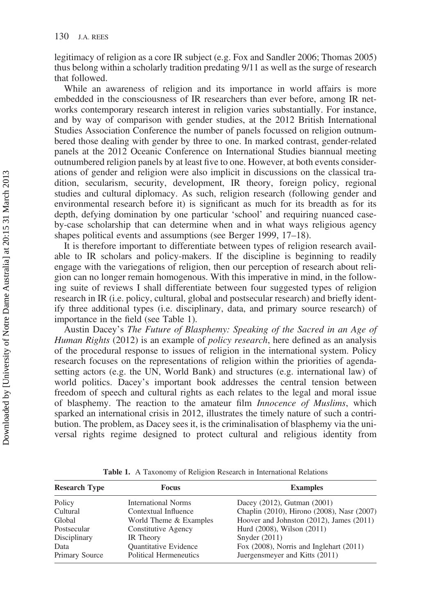legitimacy of religion as a core IR subject (e.g. Fox and Sandler 2006; Thomas 2005) thus belong within a scholarly tradition predating 9/11 as well as the surge of research that followed.

While an awareness of religion and its importance in world affairs is more embedded in the consciousness of IR researchers than ever before, among IR networks contemporary research interest in religion varies substantially. For instance, and by way of comparison with gender studies, at the 2012 British International Studies Association Conference the number of panels focussed on religion outnumbered those dealing with gender by three to one. In marked contrast, gender-related panels at the 2012 Oceanic Conference on International Studies biannual meeting outnumbered religion panels by at least five to one. However, at both events considerations of gender and religion were also implicit in discussions on the classical tradition, secularism, security, development, IR theory, foreign policy, regional studies and cultural diplomacy. As such, religion research (following gender and environmental research before it) is significant as much for its breadth as for its depth, defying domination by one particular 'school' and requiring nuanced caseby-case scholarship that can determine when and in what ways religious agency shapes political events and assumptions (see Berger 1999, 17–18).

It is therefore important to differentiate between types of religion research available to IR scholars and policy-makers. If the discipline is beginning to readily engage with the variegations of religion, then our perception of research about religion can no longer remain homogenous. With this imperative in mind, in the following suite of reviews I shall differentiate between four suggested types of religion research in IR (i.e. policy, cultural, global and postsecular research) and briefly identify three additional types (i.e. disciplinary, data, and primary source research) of importance in the field (see Table 1).

Austin Dacey's The Future of Blasphemy: Speaking of the Sacred in an Age of Human Rights (2012) is an example of *policy research*, here defined as an analysis of the procedural response to issues of religion in the international system. Policy research focuses on the representations of religion within the priorities of agendasetting actors (e.g. the UN, World Bank) and structures (e.g. international law) of world politics. Dacey's important book addresses the central tension between freedom of speech and cultural rights as each relates to the legal and moral issue of blasphemy. The reaction to the amateur film *Innocence of Muslims*, which sparked an international crisis in 2012, illustrates the timely nature of such a contribution. The problem, as Dacey sees it, is the criminalisation of blasphemy via the universal rights regime designed to protect cultural and religious identity from

| <b>Research Type</b> | <b>Focus</b>                  | <b>Examples</b>                               |
|----------------------|-------------------------------|-----------------------------------------------|
| Policy               | <b>International Norms</b>    | Dacey (2012), Gutman (2001)                   |
| Cultural             | Contextual Influence          | Chaplin (2010), Hirono (2008), Nasr (2007)    |
| Global               | World Theme & Examples        | Hoover and Johnston $(2012)$ , James $(2011)$ |
| Postsecular          | Constitutive Agency           | Hurd (2008), Wilson (2011)                    |
| Disciplinary         | IR Theory                     | Snyder $(2011)$                               |
| Data                 | Quantitative Evidence         | Fox $(2008)$ , Norris and Inglehart $(2011)$  |
| Primary Source       | <b>Political Hermeneutics</b> | Juergensmeyer and Kitts (2011)                |

Table 1. A Taxonomy of Religion Research in International Relations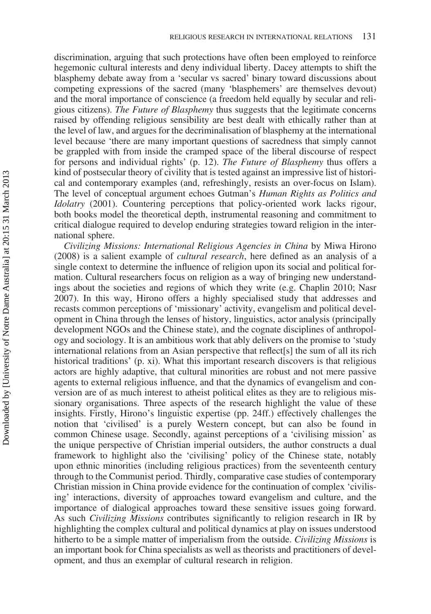discrimination, arguing that such protections have often been employed to reinforce hegemonic cultural interests and deny individual liberty. Dacey attempts to shift the blasphemy debate away from a 'secular vs sacred' binary toward discussions about competing expressions of the sacred (many 'blasphemers' are themselves devout) and the moral importance of conscience (a freedom held equally by secular and religious citizens). The Future of Blasphemy thus suggests that the legitimate concerns raised by offending religious sensibility are best dealt with ethically rather than at the level of law, and argues for the decriminalisation of blasphemy at the international level because 'there are many important questions of sacredness that simply cannot be grappled with from inside the cramped space of the liberal discourse of respect for persons and individual rights' (p. 12). The Future of Blasphemy thus offers a kind of postsecular theory of civility that is tested against an impressive list of historical and contemporary examples (and, refreshingly, resists an over-focus on Islam). The level of conceptual argument echoes Gutman's Human Rights as Politics and Idolatry (2001). Countering perceptions that policy-oriented work lacks rigour, both books model the theoretical depth, instrumental reasoning and commitment to critical dialogue required to develop enduring strategies toward religion in the international sphere.

Civilizing Missions: International Religious Agencies in China by Miwa Hirono (2008) is a salient example of cultural research, here defined as an analysis of a single context to determine the influence of religion upon its social and political formation. Cultural researchers focus on religion as a way of bringing new understandings about the societies and regions of which they write (e.g. Chaplin 2010; Nasr 2007). In this way, Hirono offers a highly specialised study that addresses and recasts common perceptions of 'missionary' activity, evangelism and political development in China through the lenses of history, linguistics, actor analysis (principally development NGOs and the Chinese state), and the cognate disciplines of anthropology and sociology. It is an ambitious work that ably delivers on the promise to 'study international relations from an Asian perspective that reflect[s] the sum of all its rich historical traditions' (p. xi). What this important research discovers is that religious actors are highly adaptive, that cultural minorities are robust and not mere passive agents to external religious influence, and that the dynamics of evangelism and conversion are of as much interest to atheist political elites as they are to religious missionary organisations. Three aspects of the research highlight the value of these insights. Firstly, Hirono's linguistic expertise (pp. 24ff.) effectively challenges the notion that 'civilised' is a purely Western concept, but can also be found in common Chinese usage. Secondly, against perceptions of a 'civilising mission' as the unique perspective of Christian imperial outsiders, the author constructs a dual framework to highlight also the 'civilising' policy of the Chinese state, notably upon ethnic minorities (including religious practices) from the seventeenth century through to the Communist period. Thirdly, comparative case studies of contemporary Christian mission in China provide evidence for the continuation of complex 'civilising' interactions, diversity of approaches toward evangelism and culture, and the importance of dialogical approaches toward these sensitive issues going forward. As such Civilizing Missions contributes significantly to religion research in IR by highlighting the complex cultural and political dynamics at play on issues understood hitherto to be a simple matter of imperialism from the outside. Civilizing Missions is an important book for China specialists as well as theorists and practitioners of development, and thus an exemplar of cultural research in religion.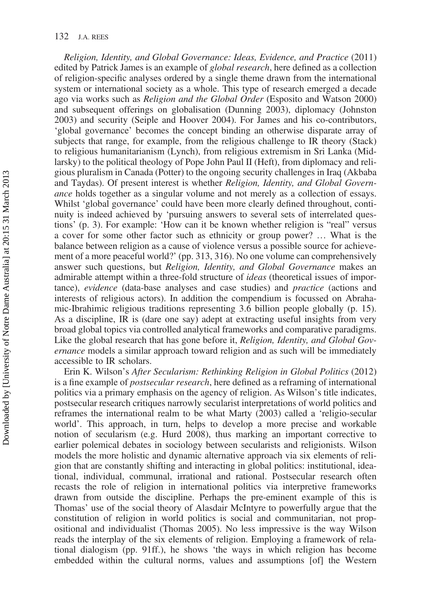Religion, Identity, and Global Governance: Ideas, Evidence, and Practice (2011) edited by Patrick James is an example of *global research*, here defined as a collection of religion-specific analyses ordered by a single theme drawn from the international system or international society as a whole. This type of research emerged a decade ago via works such as Religion and the Global Order (Esposito and Watson 2000) and subsequent offerings on globalisation (Dunning 2003), diplomacy (Johnston 2003) and security (Seiple and Hoover 2004). For James and his co-contributors, 'global governance' becomes the concept binding an otherwise disparate array of subjects that range, for example, from the religious challenge to IR theory (Stack) to religious humanitarianism (Lynch), from religious extremism in Sri Lanka (Midlarsky) to the political theology of Pope John Paul II (Heft), from diplomacy and religious pluralism in Canada (Potter) to the ongoing security challenges in Iraq (Akbaba and Taydas). Of present interest is whether Religion, Identity, and Global Governance holds together as a singular volume and not merely as a collection of essays. Whilst 'global governance' could have been more clearly defined throughout, continuity is indeed achieved by 'pursuing answers to several sets of interrelated questions' (p. 3). For example: 'How can it be known whether religion is "real" versus a cover for some other factor such as ethnicity or group power? … What is the balance between religion as a cause of violence versus a possible source for achievement of a more peaceful world?' (pp. 313, 316). No one volume can comprehensively answer such questions, but *Religion, Identity, and Global Governance* makes an admirable attempt within a three-fold structure of *ideas* (theoretical issues of importance), evidence (data-base analyses and case studies) and practice (actions and interests of religious actors). In addition the compendium is focussed on Abrahamic-Ibrahimic religious traditions representing 3.6 billion people globally (p. 15). As a discipline, IR is (dare one say) adept at extracting useful insights from very broad global topics via controlled analytical frameworks and comparative paradigms. Like the global research that has gone before it, *Religion*, *Identity*, and *Global Gov*ernance models a similar approach toward religion and as such will be immediately accessible to IR scholars.

Erin K. Wilson's After Secularism: Rethinking Religion in Global Politics (2012) is a fine example of *postsecular research*, here defined as a reframing of international politics via a primary emphasis on the agency of religion. As Wilson's title indicates, postsecular research critiques narrowly secularist interpretations of world politics and reframes the international realm to be what Marty (2003) called a 'religio-secular world'. This approach, in turn, helps to develop a more precise and workable notion of secularism (e.g. Hurd 2008), thus marking an important corrective to earlier polemical debates in sociology between secularists and religionists. Wilson models the more holistic and dynamic alternative approach via six elements of religion that are constantly shifting and interacting in global politics: institutional, ideational, individual, communal, irrational and rational. Postsecular research often recasts the role of religion in international politics via interpretive frameworks drawn from outside the discipline. Perhaps the pre-eminent example of this is Thomas' use of the social theory of Alasdair McIntyre to powerfully argue that the constitution of religion in world politics is social and communitarian, not propositional and individualist (Thomas 2005). No less impressive is the way Wilson reads the interplay of the six elements of religion. Employing a framework of relational dialogism (pp. 91ff.), he shows 'the ways in which religion has become embedded within the cultural norms, values and assumptions [of] the Western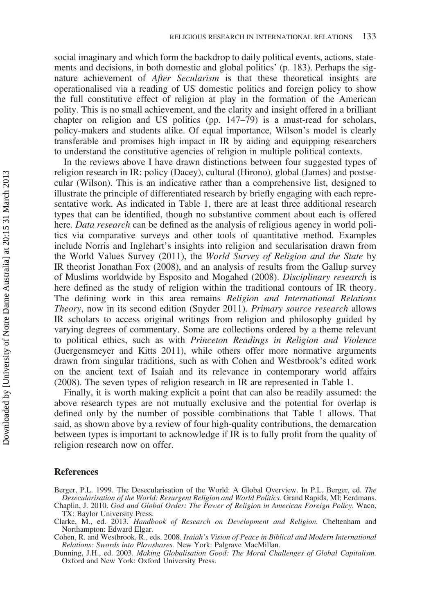social imaginary and which form the backdrop to daily political events, actions, statements and decisions, in both domestic and global politics' (p. 183). Perhaps the signature achievement of After Secularism is that these theoretical insights are operationalised via a reading of US domestic politics and foreign policy to show the full constitutive effect of religion at play in the formation of the American polity. This is no small achievement, and the clarity and insight offered in a brilliant chapter on religion and US politics (pp. 147–79) is a must-read for scholars, policy-makers and students alike. Of equal importance, Wilson's model is clearly transferable and promises high impact in IR by aiding and equipping researchers to understand the constitutive agencies of religion in multiple political contexts.

In the reviews above I have drawn distinctions between four suggested types of religion research in IR: policy (Dacey), cultural (Hirono), global (James) and postsecular (Wilson). This is an indicative rather than a comprehensive list, designed to illustrate the principle of differentiated research by briefly engaging with each representative work. As indicated in Table 1, there are at least three additional research types that can be identified, though no substantive comment about each is offered here. Data research can be defined as the analysis of religious agency in world politics via comparative surveys and other tools of quantitative method. Examples include Norris and Inglehart's insights into religion and secularisation drawn from the World Values Survey (2011), the World Survey of Religion and the State by IR theorist Jonathan Fox (2008), and an analysis of results from the Gallup survey of Muslims worldwide by Esposito and Mogahed (2008). Disciplinary research is here defined as the study of religion within the traditional contours of IR theory. The defining work in this area remains Religion and International Relations Theory, now in its second edition (Snyder 2011). Primary source research allows IR scholars to access original writings from religion and philosophy guided by varying degrees of commentary. Some are collections ordered by a theme relevant to political ethics, such as with Princeton Readings in Religion and Violence (Juergensmeyer and Kitts 2011), while others offer more normative arguments drawn from singular traditions, such as with Cohen and Westbrook's edited work on the ancient text of Isaiah and its relevance in contemporary world affairs (2008). The seven types of religion research in IR are represented in Table 1.

Finally, it is worth making explicit a point that can also be readily assumed: the above research types are not mutually exclusive and the potential for overlap is defined only by the number of possible combinations that Table 1 allows. That said, as shown above by a review of four high-quality contributions, the demarcation between types is important to acknowledge if IR is to fully profit from the quality of religion research now on offer.

- Berger, P.L. 1999. The Desecularisation of the World: A Global Overview. In P.L. Berger, ed. The Desecularisation of the World: Resurgent Religion and World Politics. Grand Rapids, MI: Eerdmans. Chaplin, J. 2010. God and Global Order: The Power of Religion in American Foreign Policy. Waco,
- TX: Baylor University Press.
- Clarke, M., ed. 2013. Handbook of Research on Development and Religion. Cheltenham and Northampton: Edward Elgar.
- Cohen, R. and Westbrook, R., eds. 2008. Isaiah's Vision of Peace in Biblical and Modern International Relations: Swords into Plowshares. New York: Palgrave MacMillan.
- Dunning, J.H., ed. 2003. Making Globalisation Good: The Moral Challenges of Global Capitalism. Oxford and New York: Oxford University Press.